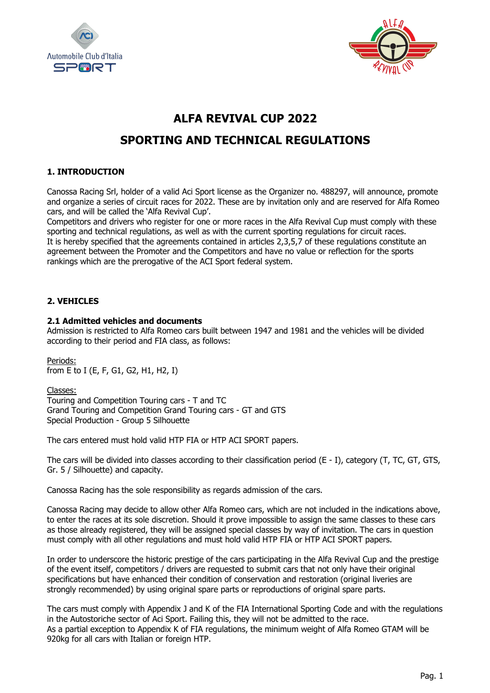



# **ALFA REVIVAL CUP 2022**

# **SPORTING AND TECHNICAL REGULATIONS**

# **1. INTRODUCTION**

Canossa Racing Srl, holder of a valid Aci Sport license as the Organizer no. 488297, will announce, promote and organize a series of circuit races for 2022. These are by invitation only and are reserved for Alfa Romeo cars, and will be called the 'Alfa Revival Cup'.

Competitors and drivers who register for one or more races in the Alfa Revival Cup must comply with these sporting and technical regulations, as well as with the current sporting regulations for circuit races. It is hereby specified that the agreements contained in articles 2,3,5,7 of these regulations constitute an agreement between the Promoter and the Competitors and have no value or reflection for the sports rankings which are the prerogative of the ACI Sport federal system.

# **2. VEHICLES**

## **2.1 Admitted vehicles and documents**

Admission is restricted to Alfa Romeo cars built between 1947 and 1981 and the vehicles will be divided according to their period and FIA class, as follows:

Periods: from E to I (E, F, G1, G2, H1, H2, I)

Classes:

Touring and Competition Touring cars - T and TC Grand Touring and Competition Grand Touring cars - GT and GTS Special Production - Group 5 Silhouette

The cars entered must hold valid HTP FIA or HTP ACI SPORT papers.

The cars will be divided into classes according to their classification period (E - I), category (T, TC, GT, GTS, Gr. 5 / Silhouette) and capacity.

Canossa Racing has the sole responsibility as regards admission of the cars.

Canossa Racing may decide to allow other Alfa Romeo cars, which are not included in the indications above, to enter the races at its sole discretion. Should it prove impossible to assign the same classes to these cars as those already registered, they will be assigned special classes by way of invitation. The cars in question must comply with all other regulations and must hold valid HTP FIA or HTP ACI SPORT papers.

In order to underscore the historic prestige of the cars participating in the Alfa Revival Cup and the prestige of the event itself, competitors / drivers are requested to submit cars that not only have their original specifications but have enhanced their condition of conservation and restoration (original liveries are strongly recommended) by using original spare parts or reproductions of original spare parts.

The cars must comply with Appendix J and K of the FIA International Sporting Code and with the regulations in the Autostoriche sector of Aci Sport. Failing this, they will not be admitted to the race. As a partial exception to Appendix K of FIA regulations, the minimum weight of Alfa Romeo GTAM will be 920kg for all cars with Italian or foreign HTP.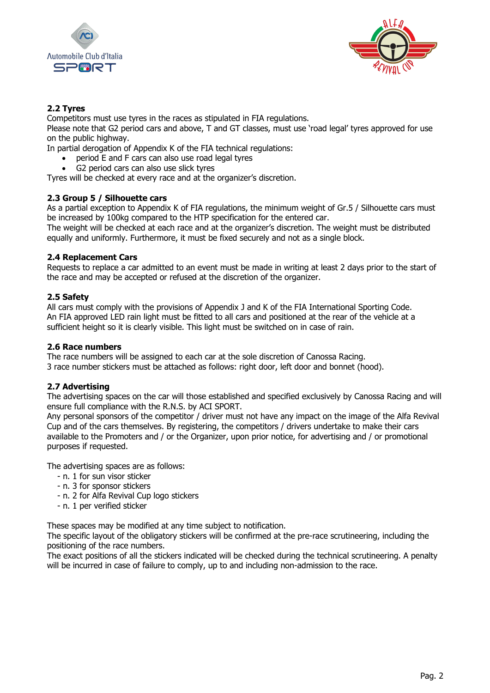



# **2.2 Tyres**

Competitors must use tyres in the races as stipulated in FIA regulations.

Please note that G2 period cars and above, T and GT classes, must use 'road legal' tyres approved for use on the public highway.

In partial derogation of Appendix K of the FIA technical regulations:

- period E and F cars can also use road legal tyres
- G2 period cars can also use slick tyres

Tyres will be checked at every race and at the organizer's discretion.

# **2.3 Group 5 / Silhouette cars**

As a partial exception to Appendix K of FIA regulations, the minimum weight of Gr.5 / Silhouette cars must be increased by 100kg compared to the HTP specification for the entered car.

The weight will be checked at each race and at the organizer's discretion. The weight must be distributed equally and uniformly. Furthermore, it must be fixed securely and not as a single block.

## **2.4 Replacement Cars**

Requests to replace a car admitted to an event must be made in writing at least 2 days prior to the start of the race and may be accepted or refused at the discretion of the organizer.

## **2.5 Safety**

All cars must comply with the provisions of Appendix J and K of the FIA International Sporting Code. An FIA approved LED rain light must be fitted to all cars and positioned at the rear of the vehicle at a sufficient height so it is clearly visible. This light must be switched on in case of rain.

#### **2.6 Race numbers**

The race numbers will be assigned to each car at the sole discretion of Canossa Racing. 3 race number stickers must be attached as follows: right door, left door and bonnet (hood).

#### **2.7 Advertising**

The advertising spaces on the car will those established and specified exclusively by Canossa Racing and will ensure full compliance with the R.N.S. by ACI SPORT.

Any personal sponsors of the competitor / driver must not have any impact on the image of the Alfa Revival Cup and of the cars themselves. By registering, the competitors / drivers undertake to make their cars available to the Promoters and / or the Organizer, upon prior notice, for advertising and / or promotional purposes if requested.

The advertising spaces are as follows:

- n. 1 for sun visor sticker
- n. 3 for sponsor stickers
- n. 2 for Alfa Revival Cup logo stickers
- n. 1 per verified sticker

These spaces may be modified at any time subject to notification.

The specific layout of the obligatory stickers will be confirmed at the pre-race scrutineering, including the positioning of the race numbers.

The exact positions of all the stickers indicated will be checked during the technical scrutineering. A penalty will be incurred in case of failure to comply, up to and including non-admission to the race.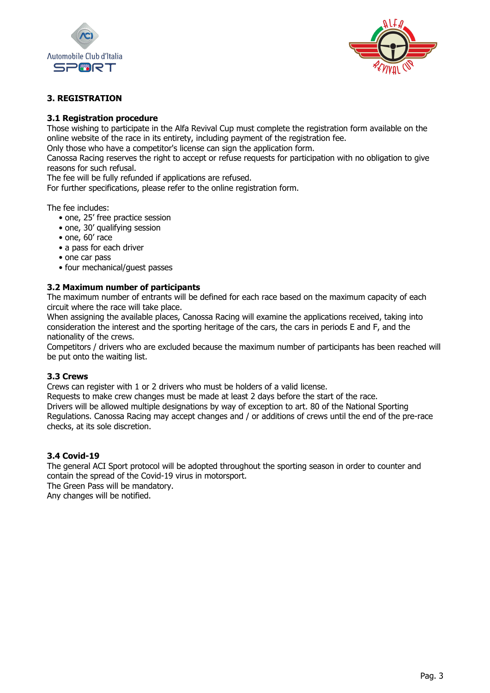



# **3. REGISTRATION**

## **3.1 Registration procedure**

Those wishing to participate in the Alfa Revival Cup must complete the registration form available on the online website of the race in its entirety, including payment of the registration fee.

Only those who have a competitor's license can sign the application form.

Canossa Racing reserves the right to accept or refuse requests for participation with no obligation to give reasons for such refusal.

The fee will be fully refunded if applications are refused.

For further specifications, please refer to the online registration form.

The fee includes:

- one, 25' free practice session
- one, 30' qualifying session
- one, 60' race
- a pass for each driver
- one car pass
- four mechanical/guest passes

#### **3.2 Maximum number of participants**

The maximum number of entrants will be defined for each race based on the maximum capacity of each circuit where the race will take place.

When assigning the available places, Canossa Racing will examine the applications received, taking into consideration the interest and the sporting heritage of the cars, the cars in periods E and F, and the nationality of the crews.

Competitors / drivers who are excluded because the maximum number of participants has been reached will be put onto the waiting list.

#### **3.3 Crews**

Crews can register with 1 or 2 drivers who must be holders of a valid license.

Requests to make crew changes must be made at least 2 days before the start of the race. Drivers will be allowed multiple designations by way of exception to art. 80 of the National Sporting Regulations. Canossa Racing may accept changes and / or additions of crews until the end of the pre-race checks, at its sole discretion.

#### **3.4 Covid-19**

The general ACI Sport protocol will be adopted throughout the sporting season in order to counter and contain the spread of the Covid-19 virus in motorsport. The Green Pass will be mandatory.

Any changes will be notified.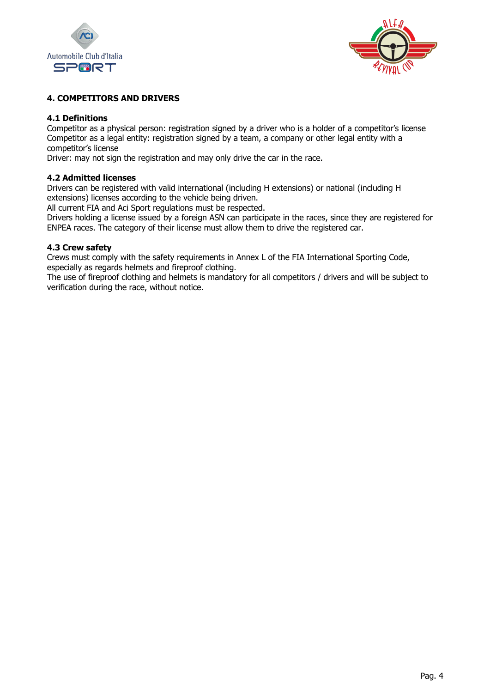



# **4. COMPETITORS AND DRIVERS**

## **4.1 Definitions**

Competitor as a physical person: registration signed by a driver who is a holder of a competitor's license Competitor as a legal entity: registration signed by a team, a company or other legal entity with a competitor's license

Driver: may not sign the registration and may only drive the car in the race.

#### **4.2 Admitted licenses**

Drivers can be registered with valid international (including H extensions) or national (including H extensions) licenses according to the vehicle being driven.

All current FIA and Aci Sport regulations must be respected.

Drivers holding a license issued by a foreign ASN can participate in the races, since they are registered for ENPEA races. The category of their license must allow them to drive the registered car.

#### **4.3 Crew safety**

Crews must comply with the safety requirements in Annex L of the FIA International Sporting Code, especially as regards helmets and fireproof clothing.

The use of fireproof clothing and helmets is mandatory for all competitors / drivers and will be subject to verification during the race, without notice.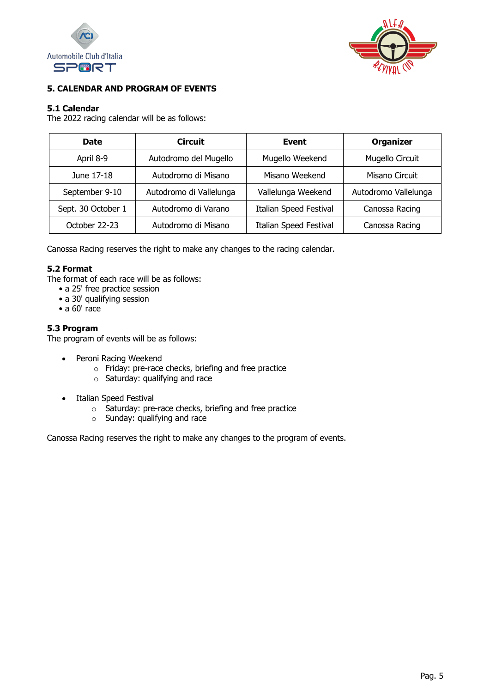



# **5. CALENDAR AND PROGRAM OF EVENTS**

# **5.1 Calendar**

The 2022 racing calendar will be as follows:

| <b>Circuit</b><br><b>Date</b>             |                       | Event                         | <b>Organizer</b>     |  |  |
|-------------------------------------------|-----------------------|-------------------------------|----------------------|--|--|
| April 8-9                                 | Autodromo del Mugello |                               | Mugello Circuit      |  |  |
| Autodromo di Misano<br>June 17-18         |                       | Misano Weekend                | Misano Circuit       |  |  |
| Autodromo di Vallelunga<br>September 9-10 |                       | Vallelunga Weekend            | Autodromo Vallelunga |  |  |
| Sept. 30 October 1                        | Autodromo di Varano   | <b>Italian Speed Festival</b> | Canossa Racing       |  |  |
| October 22-23                             | Autodromo di Misano   | <b>Italian Speed Festival</b> | Canossa Racing       |  |  |

Canossa Racing reserves the right to make any changes to the racing calendar.

# **5.2 Format**

The format of each race will be as follows:

- a 25' free practice session
- a 30' qualifying session
- $\bullet$  a 60' race

## **5.3 Program**

The program of events will be as follows:

- Peroni Racing Weekend
	- o Friday: pre-race checks, briefing and free practice
	- o Saturday: qualifying and race
- Italian Speed Festival
	- o Saturday: pre-race checks, briefing and free practice
	- o Sunday: qualifying and race

Canossa Racing reserves the right to make any changes to the program of events.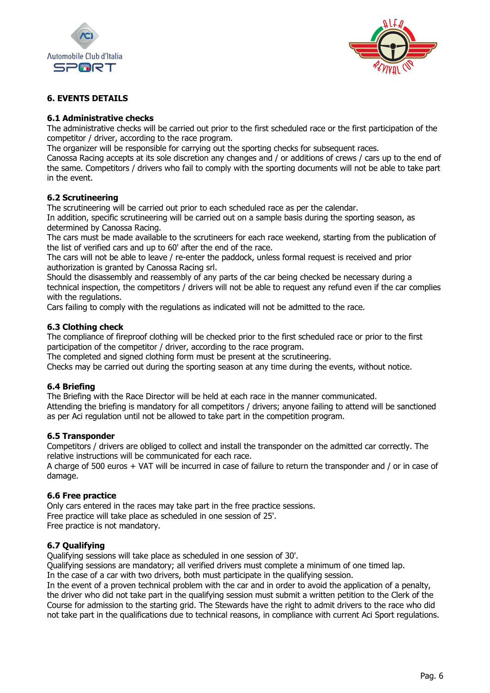



# **6. EVENTS DETAILS**

## **6.1 Administrative checks**

The administrative checks will be carried out prior to the first scheduled race or the first participation of the competitor / driver, according to the race program.

The organizer will be responsible for carrying out the sporting checks for subsequent races.

Canossa Racing accepts at its sole discretion any changes and / or additions of crews / cars up to the end of the same. Competitors / drivers who fail to comply with the sporting documents will not be able to take part in the event.

## **6.2 Scrutineering**

The scrutineering will be carried out prior to each scheduled race as per the calendar.

In addition, specific scrutineering will be carried out on a sample basis during the sporting season, as determined by Canossa Racing.

The cars must be made available to the scrutineers for each race weekend, starting from the publication of the list of verified cars and up to 60' after the end of the race.

The cars will not be able to leave / re-enter the paddock, unless formal request is received and prior authorization is granted by Canossa Racing srl.

Should the disassembly and reassembly of any parts of the car being checked be necessary during a technical inspection, the competitors / drivers will not be able to request any refund even if the car complies with the regulations.

Cars failing to comply with the regulations as indicated will not be admitted to the race.

#### **6.3 Clothing check**

The compliance of fireproof clothing will be checked prior to the first scheduled race or prior to the first participation of the competitor / driver, according to the race program.

The completed and signed clothing form must be present at the scrutineering.

Checks may be carried out during the sporting season at any time during the events, without notice.

#### **6.4 Briefing**

The Briefing with the Race Director will be held at each race in the manner communicated. Attending the briefing is mandatory for all competitors / drivers; anyone failing to attend will be sanctioned as per Aci regulation until not be allowed to take part in the competition program.

#### **6.5 Transponder**

Competitors / drivers are obliged to collect and install the transponder on the admitted car correctly. The relative instructions will be communicated for each race.

A charge of 500 euros + VAT will be incurred in case of failure to return the transponder and / or in case of damage.

#### **6.6 Free practice**

Only cars entered in the races may take part in the free practice sessions. Free practice will take place as scheduled in one session of 25'. Free practice is not mandatory.

#### **6.7 Qualifying**

Qualifying sessions will take place as scheduled in one session of 30'.

Qualifying sessions are mandatory; all verified drivers must complete a minimum of one timed lap. In the case of a car with two drivers, both must participate in the qualifying session.

In the event of a proven technical problem with the car and in order to avoid the application of a penalty, the driver who did not take part in the qualifying session must submit a written petition to the Clerk of the Course for admission to the starting grid. The Stewards have the right to admit drivers to the race who did not take part in the qualifications due to technical reasons, in compliance with current Aci Sport regulations.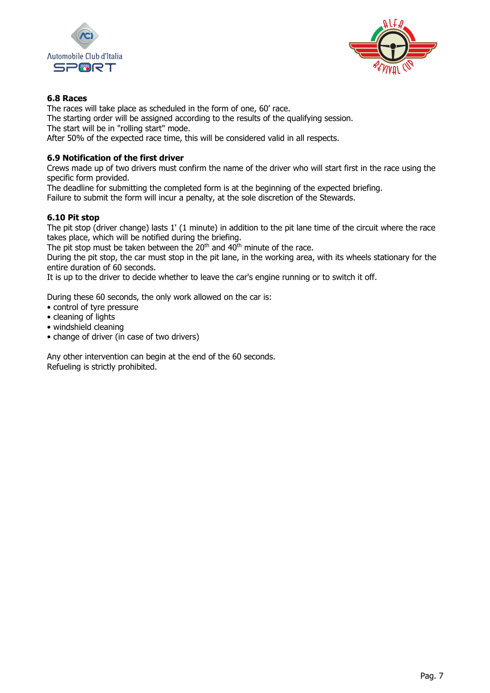



# **6.8 Races**

The races will take place as scheduled in the form of one, 60' race. The starting order will be assigned according to the results of the qualifying session. The start will be in "rolling start" mode. After 50% of the expected race time, this will be considered valid in all respects.

# **6.9 Notification of the first driver**

Crews made up of two drivers must confirm the name of the driver who will start first in the race using the specific form provided.

The deadline for submitting the completed form is at the beginning of the expected briefing. Failure to submit the form will incur a penalty, at the sole discretion of the Stewards.

# **6.10 Pit stop**

The pit stop (driver change) lasts 1' (1 minute) in addition to the pit lane time of the circuit where the race takes place, which will be notified during the briefing.

The pit stop must be taken between the  $20<sup>th</sup>$  and  $40<sup>th</sup>$  minute of the race.

During the pit stop, the car must stop in the pit lane, in the working area, with its wheels stationary for the entire duration of 60 seconds.

It is up to the driver to decide whether to leave the car's engine running or to switch it off.

During these 60 seconds, the only work allowed on the car is:

- control of tyre pressure
- cleaning of lights
- windshield cleaning
- change of driver (in case of two drivers)

Any other intervention can begin at the end of the 60 seconds. Refueling is strictly prohibited.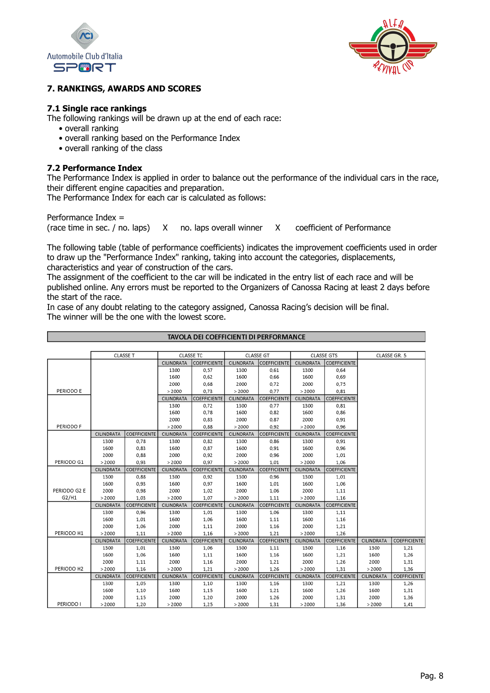



## **7. RANKINGS, AWARDS AND SCORES**

## **7.1 Single race rankings**

The following rankings will be drawn up at the end of each race:

- overall ranking
- overall ranking based on the Performance Index
- overall ranking of the class

## **7.2 Performance Index**

The Performance Index is applied in order to balance out the performance of the individual cars in the race, their different engine capacities and preparation.

The Performance Index for each car is calculated as follows:

Performance Index =

(race time in sec. / no. laps) X no. laps overall winner X coefficient of Performance

The following table (table of performance coefficients) indicates the improvement coefficients used in order to draw up the "Performance Index" ranking, taking into account the categories, displacements, characteristics and year of construction of the cars.

The assignment of the coefficient to the car will be indicated in the entry list of each race and will be published online. Any errors must be reported to the Organizers of Canossa Racing at least 2 days before the start of the race.

TAVOLA DEL COEFFICIENTI DI PERFORMANCE

In case of any doubt relating to the category assigned, Canossa Racing's decision will be final. The winner will be the one with the lowest score.

|              | <b>CLASSE T</b>   |                     | CLASSE TC         |                     | <b>CLASSE GT</b> |                            | <b>CLASSE GTS</b> |                     | CLASSE GR. 5 |                     |
|--------------|-------------------|---------------------|-------------------|---------------------|------------------|----------------------------|-------------------|---------------------|--------------|---------------------|
|              |                   |                     | CILINDRATA        | <b>COEFFICIENTE</b> | CILINDRATA       | <b>COEFFICIENTE</b>        | CILINDRATA        | <b>COEFFICIENTE</b> |              |                     |
|              |                   |                     | 1300              | 0,57                | 1300             | 0.61                       | 1300              | 0,64                |              |                     |
|              |                   |                     | 1600              | 0,62                | 1600             | 0,66                       | 1600              | 0,69                |              |                     |
|              |                   |                     | 2000              | 0,68                | 2000             | 0.72                       | 2000              | 0.75                |              |                     |
| PERIODO E    |                   |                     | > 2000            | 0.73                | > 2000           | 0.77                       | >2000             | 0.81                |              |                     |
|              |                   |                     | <b>CILINDRATA</b> | <b>COEFFICIENTE</b> | CILINDRATA       | <b>COEFFICIENTE</b>        | CILINDRATA        | <b>COEFFICIENTE</b> |              |                     |
|              |                   |                     | 1300              | 0.72                | 1300             | 0.77                       | 1300              | 0.81                |              |                     |
|              |                   |                     | 1600              | 0.78                | 1600             | 0,82                       | 1600              | 0.86                |              |                     |
|              |                   |                     | 2000              | 0,83                | 2000             | 0.87                       | 2000              | 0.91                |              |                     |
| PERIODO F    |                   |                     | > 2000            | 0,88                | >2000            | 0,92                       | > 2000            | 0.96                |              |                     |
|              | CILINDRATA        | <b>COEFFICIENTE</b> | CILINDRATA        | <b>COEFFICIENTE</b> | CILINDRATA       | <b>COEFFICIENTE</b>        | CILINDRATA        | <b>COEFFICIENTE</b> |              |                     |
|              | 1300              | 0,78                | 1300              | 0,82                | 1300             | 0,86                       | 1300              | 0,91                |              |                     |
|              | 1600              | 0,83                | 1600              | 0.87                | 1600             | 0.91                       | 1600              | 0.96                |              |                     |
|              | 2000              | 0,88                | 2000              | 0,92                | 2000             | 0,96                       | 2000              | 1,01                |              |                     |
| PERIODO G1   | > 2000            | 0.93                | >2000             | 0.97                | > 2000           | 1.01                       | >2000             | 1,06                |              |                     |
|              | <b>CILINDRATA</b> | <b>COEFFICIENTE</b> | CILINDRATA        | <b>COEFFICIENTE</b> | CILINDRATA       | <b>COEFFICIENTE</b>        | CILINDRATA        | COEFFICIENTE        |              |                     |
|              | 1300              | 0,88                | 1300              | 0,92                | 1300             | 0,96                       | 1300              | 1,01                |              |                     |
|              | 1600              | 0,93                | 1600              | 0,97                | 1600             | 1,01                       | 1600              | 1,06                |              |                     |
| PERIODO G2 E | 2000              | 0,98                | 2000              | 1,02                | 2000             | 1,06                       | 2000              | 1,11                |              |                     |
| G2/H1        | >2000             | 1.03                | > 2000            | 1,07                | > 2000           | 1,11                       | >2000             | 1.16                |              |                     |
|              | <b>CILINDRATA</b> | <b>COEFFICIENTE</b> | CILINDRATA        | <b>COEFFICIENTE</b> | CILINDRATA       | <i><b>COEFFICIENTE</b></i> | CILINDRATA        | <b>COEFFICIENTE</b> |              |                     |
|              | 1300              | 0,96                | 1300              | 1,01                | 1300             | 1,06                       | 1300              | 1,11                |              |                     |
|              | 1600              | 1,01                | 1600              | 1,06                | 1600             | 1,11                       | 1600              | 1,16                |              |                     |
|              | 2000              | 1,06                | 2000              | 1,11                | 2000             | 1,16                       | 2000              | 1,21                |              |                     |
| PERIODO H1   | > 2000            | 1,11                | > 2000            | 1,16                | > 2000           | 1,21                       | >2000             | 1,26                |              |                     |
|              | CILINDRATA        | <b>COEFFICIENTE</b> | <b>CILINDRATA</b> | <b>COEFFICIENTE</b> | CILINDRATA       | <b>COEFFICIENTE</b>        | CILINDRATA        | <b>COEFFICIENTE</b> | CILINDRATA   | <b>COEFFICIENTE</b> |
|              | 1300              | 1,01                | 1300              | 1,06                | 1300             | 1,11                       | 1300              | 1,16                | 1300         | 1,21                |
|              | 1600              | 1,06                | 1600              | 1,11                | 1600             | 1,16                       | 1600              | 1,21                | 1600         | 1,26                |
|              | 2000              | 1,11                | 2000              | 1,16                | 2000             | 1,21                       | 2000              | 1,26                | 2000         | 1,31                |
| PERIODO H2   | > 2000            | 1,16                | > 2000            | 1,21                | > 2000           | 1,26                       | >2000             | 1,31                | > 2000       | 1,36                |
|              | <b>CILINDRATA</b> | <b>COEFFICIENTE</b> | CILINDRATA        | <b>COEFFICIENTE</b> | CILINDRATA       | <b>COEFFICIENTE</b>        | CILINDRATA        | <b>COEFFICIENTE</b> | CILINDRATA   | <b>COEFFICIENTE</b> |
|              | 1300              | 1,05                | 1300              | 1,10                | 1300             | 1,16                       | 1300              | 1,21                | 1300         | 1,26                |
|              | 1600              | 1,10                | 1600              | 1,15                | 1600             | 1,21                       | 1600              | 1,26                | 1600         | 1,31                |
|              | 2000              | 1,15                | 2000              | 1,20                | 2000             | 1,26                       | 2000              | 1,31                | 2000         | 1,36                |
| PERIODO I    | > 2000            | 1,20                | >2000             | 1,25                | > 2000           | 1,31                       | >2000             | 1,36                | > 2000       | 1.41                |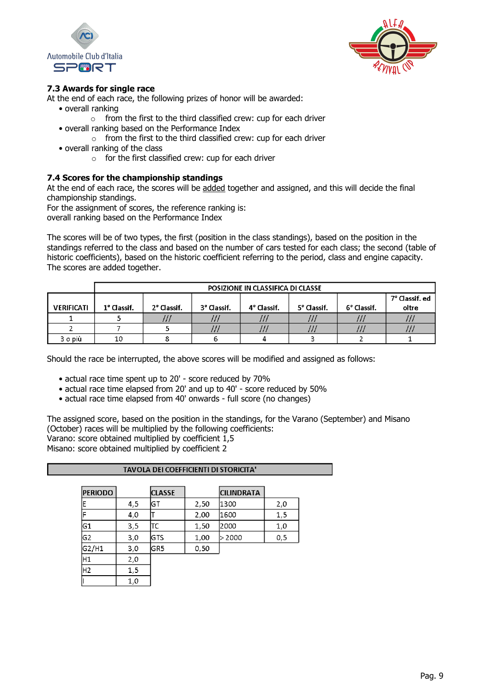



## **7.3 Awards for single race**

At the end of each race, the following prizes of honor will be awarded:

- overall ranking
	- o from the first to the third classified crew: cup for each driver
- overall ranking based on the Performance Index
	- $\circ$  from the first to the third classified crew: cup for each driver
- overall ranking of the class
	- $\circ$  for the first classified crew: cup for each driver

## **7.4 Scores for the championship standings**

At the end of each race, the scores will be added together and assigned, and this will decide the final championship standings.

For the assignment of scores, the reference ranking is:

overall ranking based on the Performance Index

The scores will be of two types, the first (position in the class standings), based on the position in the standings referred to the class and based on the number of cars tested for each class; the second (table of historic coefficients), based on the historic coefficient referring to the period, class and engine capacity. The scores are added together.

|                   | POSIZIONE IN CLASSIFICA DI CLASSE |                         |             |             |             |             |                |  |
|-------------------|-----------------------------------|-------------------------|-------------|-------------|-------------|-------------|----------------|--|
|                   |                                   |                         |             |             |             |             | 7º Classif. ed |  |
| <b>VERIFICATI</b> | 1° Classif.                       | 2 <sup>°</sup> Classif. | 3° Classif. | 4° Classif. | 5° Classif. | 6° Classif. | oltre          |  |
|                   |                                   | ,,,                     | .           |             | $\cdots$    | ,,,         |                |  |
|                   |                                   |                         |             |             | ,,,         |             |                |  |
| 3 o più           | 10                                |                         |             |             |             |             |                |  |

Should the race be interrupted, the above scores will be modified and assigned as follows:

- actual race time spent up to 20' score reduced by 70%
- actual race time elapsed from 20' and up to 40' score reduced by 50%
- actual race time elapsed from 40' onwards full score (no changes)

The assigned score, based on the position in the standings, for the Varano (September) and Misano (October) races will be multiplied by the following coefficients: Varano: score obtained multiplied by coefficient 1,5 Misano: score obtained multiplied by coefficient 2

| <b>TAVOLA DEI COEFFICIENTI DI STORICITA'</b> |     |               |      |                   |      |  |  |  |  |
|----------------------------------------------|-----|---------------|------|-------------------|------|--|--|--|--|
|                                              |     |               |      |                   |      |  |  |  |  |
| <b>PERIODO</b>                               |     | <b>CLASSE</b> |      | <b>CILINDRATA</b> |      |  |  |  |  |
| F                                            | 4,5 | IGT           | 2,50 | 1300              | 2,0  |  |  |  |  |
| F                                            | 4,0 |               | 2,00 | 11600             | 1,5  |  |  |  |  |
| G1                                           | 3,5 | lTC           | 1,50 | 2000              | 1,0  |  |  |  |  |
| G2                                           | 3,0 | lGTS          | 1,00 | >2000             | 0, 5 |  |  |  |  |
| G2/H1                                        | 3,0 | IGR5          | 0,50 |                   |      |  |  |  |  |
| H1                                           | 2,0 |               |      |                   |      |  |  |  |  |
| H2                                           | 1,5 |               |      |                   |      |  |  |  |  |
|                                              | 1.0 |               |      |                   |      |  |  |  |  |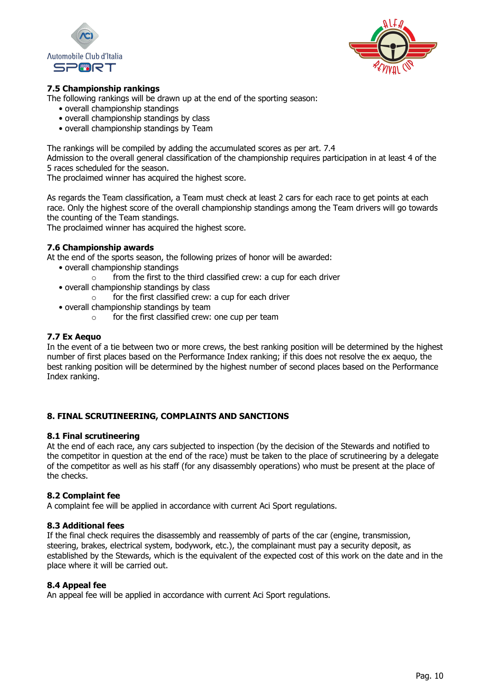



# **7.5 Championship rankings**

The following rankings will be drawn up at the end of the sporting season:

- overall championship standings
- overall championship standings by class
- overall championship standings by Team

The rankings will be compiled by adding the accumulated scores as per art. 7.4

Admission to the overall general classification of the championship requires participation in at least 4 of the 5 races scheduled for the season.

The proclaimed winner has acquired the highest score.

As regards the Team classification, a Team must check at least 2 cars for each race to get points at each race. Only the highest score of the overall championship standings among the Team drivers will go towards the counting of the Team standings.

The proclaimed winner has acquired the highest score.

## **7.6 Championship awards**

At the end of the sports season, the following prizes of honor will be awarded:

- overall championship standings
	- from the first to the third classified crew: a cup for each driver
- overall championship standings by class
	- $\circ$  for the first classified crew: a cup for each driver
- overall championship standings by team
	- o for the first classified crew: one cup per team

#### **7.7 Ex Aequo**

In the event of a tie between two or more crews, the best ranking position will be determined by the highest number of first places based on the Performance Index ranking; if this does not resolve the ex aequo, the best ranking position will be determined by the highest number of second places based on the Performance Index ranking.

#### **8. FINAL SCRUTINEERING, COMPLAINTS AND SANCTIONS**

#### **8.1 Final scrutineering**

At the end of each race, any cars subjected to inspection (by the decision of the Stewards and notified to the competitor in question at the end of the race) must be taken to the place of scrutineering by a delegate of the competitor as well as his staff (for any disassembly operations) who must be present at the place of the checks.

#### **8.2 Complaint fee**

A complaint fee will be applied in accordance with current Aci Sport regulations.

#### **8.3 Additional fees**

If the final check requires the disassembly and reassembly of parts of the car (engine, transmission, steering, brakes, electrical system, bodywork, etc.), the complainant must pay a security deposit, as established by the Stewards, which is the equivalent of the expected cost of this work on the date and in the place where it will be carried out.

#### **8.4 Appeal fee**

An appeal fee will be applied in accordance with current Aci Sport regulations.